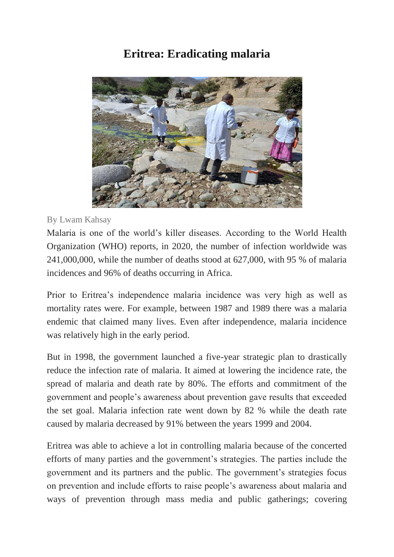## **Eritrea: Eradicating malaria**



## By Lwam Kahsay

Malaria is one of the world's killer diseases. According to the World Health Organization (WHO) reports, in 2020, the number of infection worldwide was 241,000,000, while the number of deaths stood at 627,000, with 95 % of malaria incidences and 96% of deaths occurring in Africa.

Prior to Eritrea's independence malaria incidence was very high as well as mortality rates were. For example, between 1987 and 1989 there was a malaria endemic that claimed many lives. Even after independence, malaria incidence was relatively high in the early period.

But in 1998, the government launched a five-year strategic plan to drastically reduce the infection rate of malaria. It aimed at lowering the incidence rate, the spread of malaria and death rate by 80%. The efforts and commitment of the government and people's awareness about prevention gave results that exceeded the set goal. Malaria infection rate went down by 82 % while the death rate caused by malaria decreased by 91% between the years 1999 and 2004.

Eritrea was able to achieve a lot in controlling malaria because of the concerted efforts of many parties and the government's strategies. The parties include the government and its partners and the public. The government's strategies focus on prevention and include efforts to raise people's awareness about malaria and ways of prevention through mass media and public gatherings; covering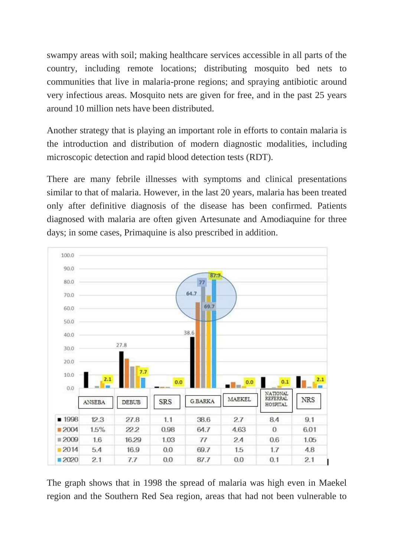swampy areas with soil; making healthcare services accessible in all parts of the country, including remote locations; distributing mosquito bed nets to communities that live in malaria-prone regions; and spraying antibiotic around very infectious areas. Mosquito nets are given for free, and in the past 25 years around 10 million nets have been distributed.

Another strategy that is playing an important role in efforts to contain malaria is the introduction and distribution of modern diagnostic modalities, including microscopic detection and rapid blood detection tests (RDT).

There are many febrile illnesses with symptoms and clinical presentations similar to that of malaria. However, in the last 20 years, malaria has been treated only after definitive diagnosis of the disease has been confirmed. Patients diagnosed with malaria are often given Artesunate and Amodiaquine for three days; in some cases, Primaquine is also prescribed in addition.



The graph shows that in 1998 the spread of malaria was high even in Maekel region and the Southern Red Sea region, areas that had not been vulnerable to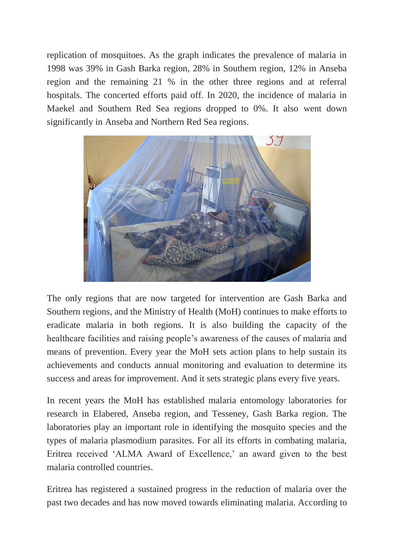replication of mosquitoes. As the graph indicates the prevalence of malaria in 1998 was 39% in Gash Barka region, 28% in Southern region, 12% in Anseba region and the remaining 21 % in the other three regions and at referral hospitals. The concerted efforts paid off. In 2020, the incidence of malaria in Maekel and Southern Red Sea regions dropped to 0%. It also went down significantly in Anseba and Northern Red Sea regions.



The only regions that are now targeted for intervention are Gash Barka and Southern regions, and the Ministry of Health (MoH) continues to make efforts to eradicate malaria in both regions. It is also building the capacity of the healthcare facilities and raising people's awareness of the causes of malaria and means of prevention. Every year the MoH sets action plans to help sustain its achievements and conducts annual monitoring and evaluation to determine its success and areas for improvement. And it sets strategic plans every five years.

In recent years the MoH has established malaria entomology laboratories for research in Elabered, Anseba region, and Tesseney, Gash Barka region. The laboratories play an important role in identifying the mosquito species and the types of malaria plasmodium parasites. For all its efforts in combating malaria, Eritrea received 'ALMA Award of Excellence,' an award given to the best malaria controlled countries.

Eritrea has registered a sustained progress in the reduction of malaria over the past two decades and has now moved towards eliminating malaria. According to